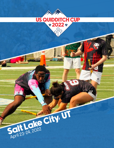

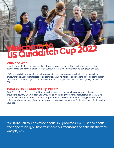## Welcome to US Quidditch Cup 2022

## **Who are we?**

Established in 2010, US Quidditch is the national governing body for the sport of quidditch, a fastpaced, mixed-gender contact sport with a unique mix of elements from rugby, dodgeball, and tag.

USQ's mission is to advance the sport by organizing events and programs that build community and empower adult and youth athletes of all identities, including all races and genders, to compete together. Our season runs from August to April and ends with our largest event of the season, US Quidditch Cup 2022!

## **What is US Quidditch Cup 2022?**

April 23rd - 24th in Salt Lake City, Utah, we will be hosting a two-day tournament with the best teams around the country. US Quidditch Cup 2022 will be an exciting event for all ages, featuring exhilarating college and club competition. As our first in-person national event since 2019, hosting this event will require a significant amount of capital to ensure it is a resounding success. That's where we'd like to ask for your help!

We invite you to learn more about US Quidditch Cup 2022 and about the opportunity you have to impact our thousands of enthusiastic fans and players.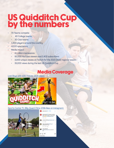## US Quidditch Cup by the numbers

- 70 Teams compete
	- 40 College teams
	- 30 Club teams
- 1,200 players around the country
- 4,000 spectators
- Media Impact
	- 15 million impressions
	- 92,000 YouTube viewers and 2,400 subscribers
	- 3,000 unique viewes on Twitch for the 2021-2022 regional season
	- 35,000 views during the last US Quidditch Cup

## Media Coverage

[Lost Boys with 100 Thieves \(162k views\)](https://youtu.be/DWn8xi7YtGg)



[Sports Center ft. Billy Quach Films \(235k likes on instagram\):](https://www.instagram.com/p/CLkL5w7lCFz/?hl=en)

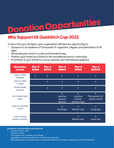# Donation Opportunities

## Why Support US Quidditch Cup 2022

In return for your donation, your organization will have the opportunity to:

- Exposure to an audience of thousands of organizers, players, and spectators of all ages
- Showcase your brand in a new and innovative way
- Position your brand as a friend to the recreational sports community
- Promotion of your brand to a local, national, and international audience

| <b>Donation</b><br><b>Levels</b> | <b>Tier 5</b><br><b>\$150</b> | <b>Tier 4</b><br><b>\$300</b> | <b>Tier 3</b><br><b>\$500</b>              | <b>Tier 2</b><br><b>\$750</b>                          | <b>Tier 1</b><br><b>\$1000</b>            |
|----------------------------------|-------------------------------|-------------------------------|--------------------------------------------|--------------------------------------------------------|-------------------------------------------|
| Logo on USQ<br>website           | $\overline{X}$                | $\overline{X}$                | $\sf X$                                    | $\overline{X}$                                         | $\sf X$                                   |
| Logo on USQ<br>e-blast           |                               | $\overline{X}$                | $\sf X$                                    | $\overline{X}$                                         | $\sf X$                                   |
| Social media<br>shouout          |                               | $\overline{X}$                | $\sf X$                                    | $\overline{X}$                                         | $\sf X$                                   |
| Ad on livestream<br>event        |                               |                               | $\sf X$<br>Listed as<br>general<br>sponsor | $\overline{X}$<br>Listed as<br>premier<br>sponsor logo | X<br>Title sponsor for<br>snitch on pitch |
| Logo on volunteer<br>t-shirt     |                               |                               | $\overline{X}$<br>Small logo               | $\times$<br>Medium logo                                | X<br>Large logo                           |
| Logo on large<br>banner at event |                               |                               |                                            | X<br>Medium logo                                       | Χ<br>Large logo                           |

#### **Donations received will be used towards:**

- Feeding volunteer staff
- Volunteer t-shirts
- Travel support for volunteers and officials
- Upgrading our livestream experience including new equipment
- General expenses to make the event a memorable experience for players, spectators, and other attendees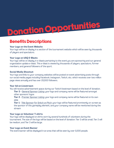# Donation Opportunities

## Benefits Descriptions

### **Your Logo on the Event Website**

Your logo will be on display in a section of the tournament website which will be seen by thousands of players and spectators.

### **Your Logo on USQ E-Blasts**

Your logo will be on display in e-blasts pertaining to the event you are sponsoring and our general organization update e-blast. This e-blast is viewed by thousands of players, spectators, former members, and general followers of the sport.

### **Social Media Shoutout**

Your logo and links to your company websites will be posted on event advertising posts through our social media pages including Facebook, Instagram, Twitch, etc. which receives over two million page views annually and has over 20,000 followers.

#### **Your Ad on Livestream**

You will receive advertisement space during our Twitch livestream based on the level of donation.

**Tier 3 -** General Sponsor Listing: your logo and company name will be featured amongst other sponsors' logos

**Tier 2** - Premier Sponsor Listing: your logo and company name will be featured on its own slide

**Tier 1** - Title Sponsor for Snitch on Pitch: your logo will be featured prominently on-screen as the sponsor of this gameplay element, and your company name will be mentioned during the stream

### **Your Logo on Volunteer T-shirts**

Your logo will be displayed on shirts worn by several hundreds of volunteers during the tournament. The size of the logo will be based on the level of donation: Tier 3 will be small, Tier 2 will be medium, and Tier 3 will be large.

#### **Your Logo on Event Banner**

The event banner will be displayed in an area that will be seen by over 5,000 people.